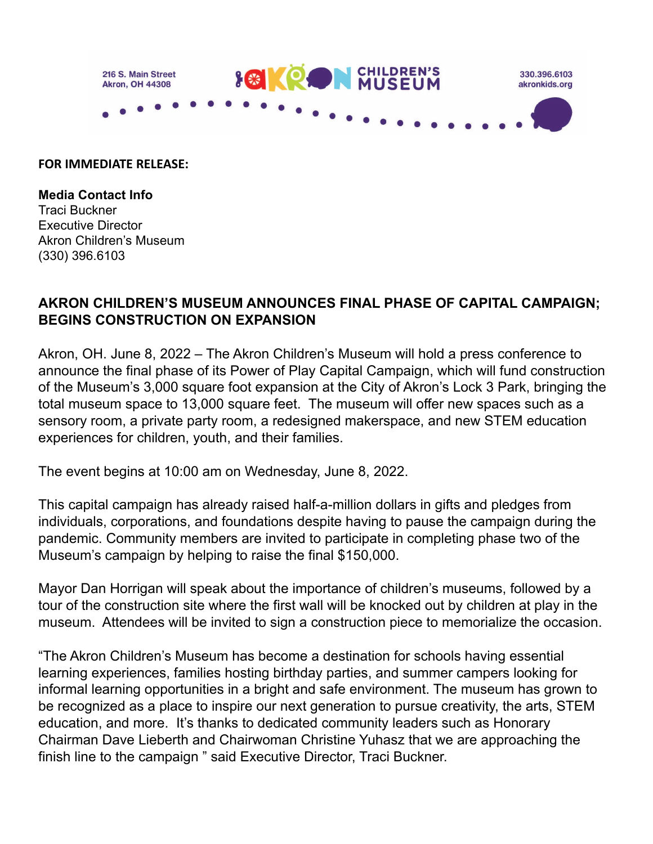

## **FOR IMMEDIATE RELEASE:**

**Media Contact Info** Traci Buckner Executive Director Akron Children's Museum (330) 396.6103

## **AKRON CHILDREN'S MUSEUM ANNOUNCES FINAL PHASE OF CAPITAL CAMPAIGN; BEGINS CONSTRUCTION ON EXPANSION**

Akron, OH. June 8, 2022 – The Akron Children's Museum will hold a press conference to announce the final phase of its Power of Play Capital Campaign, which will fund construction of the Museum's 3,000 square foot expansion at the City of Akron's Lock 3 Park, bringing the total museum space to 13,000 square feet. The museum will offer new spaces such as a sensory room, a private party room, a redesigned makerspace, and new STEM education experiences for children, youth, and their families.

The event begins at 10:00 am on Wednesday, June 8, 2022.

This capital campaign has already raised half-a-million dollars in gifts and pledges from individuals, corporations, and foundations despite having to pause the campaign during the pandemic. Community members are invited to participate in completing phase two of the Museum's campaign by helping to raise the final \$150,000.

Mayor Dan Horrigan will speak about the importance of children's museums, followed by a tour of the construction site where the first wall will be knocked out by children at play in the museum. Attendees will be invited to sign a construction piece to memorialize the occasion.

"The Akron Children's Museum has become a destination for schools having essential learning experiences, families hosting birthday parties, and summer campers looking for informal learning opportunities in a bright and safe environment. The museum has grown to be recognized as a place to inspire our next generation to pursue creativity, the arts, STEM education, and more. It's thanks to dedicated community leaders such as Honorary Chairman Dave Lieberth and Chairwoman Christine Yuhasz that we are approaching the finish line to the campaign " said Executive Director, Traci Buckner.